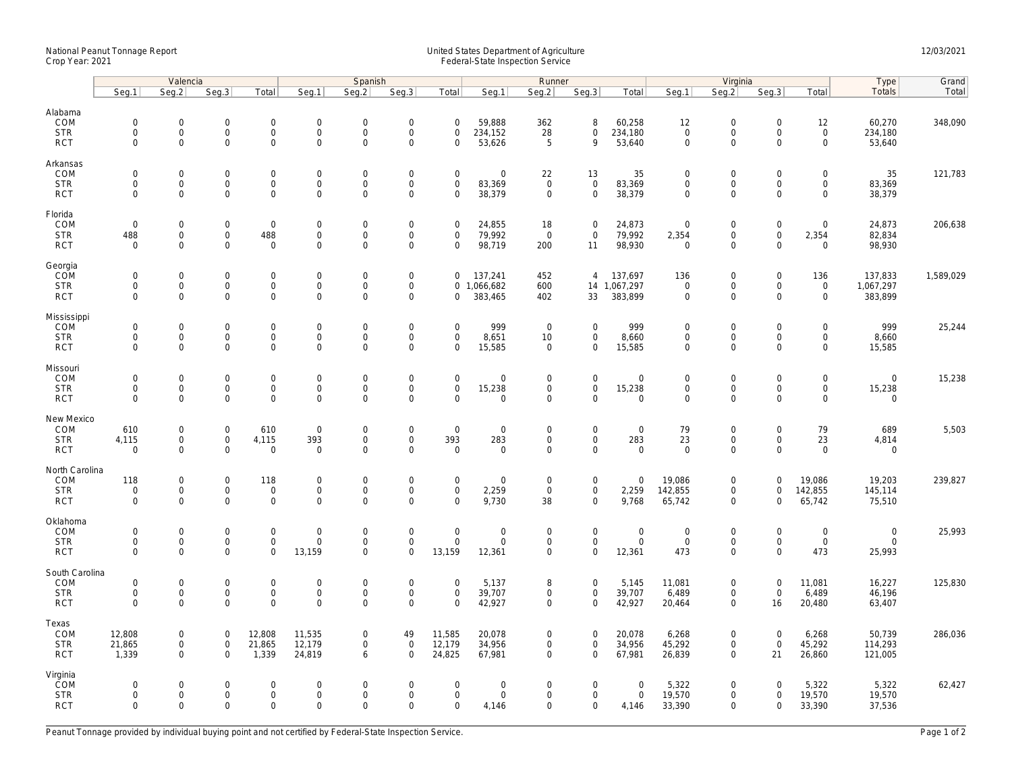## National Peanut Tonnage Report United States Department of Agriculture 12/03/2021<br>Crop Year: 2021 Federal-State Inspection Service

|                                                    | Valencia                                  |                                                                   |                                                   |                                                           | Spanish                                     |                                                   |                                                                   |                                                        | Runner                                              |                                           |                                                   |                                       |                                                   | Virginia                                                  |                                                | Type                                           | Grand                                |           |
|----------------------------------------------------|-------------------------------------------|-------------------------------------------------------------------|---------------------------------------------------|-----------------------------------------------------------|---------------------------------------------|---------------------------------------------------|-------------------------------------------------------------------|--------------------------------------------------------|-----------------------------------------------------|-------------------------------------------|---------------------------------------------------|---------------------------------------|---------------------------------------------------|-----------------------------------------------------------|------------------------------------------------|------------------------------------------------|--------------------------------------|-----------|
|                                                    | Seq.1                                     | Seg.2                                                             | Seq.3                                             | Total                                                     | Seg.1                                       | Seq.2                                             | Seq.3                                                             | Total                                                  | Seg.1                                               | Seg.2                                     | Seq.3                                             | Total                                 | Seg.1                                             | Seg.2                                                     | Seq.3                                          | Total                                          | Totals                               | Total     |
| Alabama<br>COM<br><b>STR</b><br><b>RCT</b>         | $\mathbf 0$<br>$\mathbf 0$<br>$\mathbf 0$ | $\mathsf{O}\xspace$<br>0<br>$\mathbf 0$                           | $\mathbf 0$<br>$\mathbf 0$<br>$\mathbf 0$         | $\mathsf{O}\xspace$<br>$\mathbf 0$<br>$\mathbf 0$         | $\mathbf 0$<br>$\mathsf{O}$<br>$\mathsf{O}$ | $\mathbf 0$<br>$\mathbf 0$<br>$\mathbf 0$         | $\mathbf 0$<br>$\mathbf 0$<br>$\mathsf{O}\xspace$                 | $\mathsf 0$<br>$\mathbf 0$<br>$\mathbf 0$              | 59,888<br>234,152<br>53,626                         | 362<br>28<br>5                            | 8<br>$\mathbf 0$<br>9                             | 60,258<br>234,180<br>53,640           | 12<br>$\mathbf 0$<br>$\mathbf 0$                  | $\mathbf 0$<br>$\mathbf 0$<br>$\mathsf{O}\xspace$         | $\mathsf 0$<br>$\mathbf 0$<br>$\mathbf 0$      | 12<br>$\mathbf 0$<br>$\mathsf{O}$              | 60,270<br>234,180<br>53,640          | 348,090   |
| Arkansas<br>COM                                    | $\mathbf 0$                               | $\mathbf 0$                                                       | $\mathbf 0$                                       | $\mathsf{O}\xspace$                                       | $\mathbf 0$                                 | $\mathbf 0$                                       | $\mathbf 0$                                                       | $\mathbf 0$                                            | $\mathbf 0$                                         | 22                                        | 13                                                | 35                                    | $\mathbf 0$                                       | $\mathbf 0$                                               | $\mathbf 0$                                    | $\mathbf 0$                                    | 35                                   | 121,783   |
| <b>STR</b><br><b>RCT</b>                           | $\mathbf 0$<br>$\Omega$                   | $\mathbf 0$<br>$\mathbf 0$                                        | $\mathbf 0$<br>$\mathbf 0$                        | $\mathbf 0$<br>$\mathbf 0$                                | $\mathsf{O}$<br>$\mathbf 0$                 | $\mathbf 0$<br>$\mathbf 0$                        | $\mathsf 0$<br>$\mathbf 0$                                        | $\mathbf 0$<br>$\Omega$                                | 83,369<br>38,379                                    | $\mathbf 0$<br>$\mathbf 0$                | $\mathsf 0$<br>$\mathbf 0$                        | 83,369<br>38,379                      | $\mathbf 0$<br>$\mathbf 0$                        | $\mathsf{O}$<br>$\mathbf 0$                               | $\mathbf 0$<br>$\Omega$                        | $\mathsf{O}$<br>$\mathbf 0$                    | 83,369<br>38,379                     |           |
| Florida<br>COM<br><b>STR</b><br><b>RCT</b>         | $\mathbf 0$<br>488<br>$\mathbf 0$         | $\mathbf{0}$<br>$\mathsf{O}\xspace$<br>$\mathbf 0$                | $\mathbf 0$<br>$\mathbf 0$<br>$\mathbf 0$         | $\overline{0}$<br>488<br>$\mathbf 0$                      | $\mathbf 0$<br>$\mathbf 0$<br>$\mathbf 0$   | $\mathbf 0$<br>$\mathsf{O}\xspace$<br>$\mathbf 0$ | $\mathsf{O}\xspace$<br>$\mathsf{O}\xspace$<br>$\mathbf 0$         | $\mathbf 0$<br>$\mathsf{O}\xspace$<br>$\mathbf 0$      | 24,855<br>79,992<br>98,719                          | 18<br>$\overline{0}$<br>200               | $\overline{0}$<br>$\mathbf 0$<br>11               | 24,873<br>79,992<br>98,930            | $\mathbf 0$<br>2,354<br>$\mathbf 0$               | $\mathsf{O}\xspace$<br>$\mathsf{O}\xspace$<br>$\mathbf 0$ | $\mathbf 0$<br>$\mathsf{O}\xspace$<br>$\Omega$ | $\mathbf 0$<br>2,354<br>$\mathbf 0$            | 24,873<br>82,834<br>98,930           | 206,638   |
| Georgia<br>COM<br><b>STR</b><br><b>RCT</b>         | $\mathbf 0$<br>$\mathbf 0$<br>$\mathbf 0$ | $\mathbf 0$<br>$\mathsf{O}\xspace$<br>$\mathbf{0}$                | $\mathbf 0$<br>$\mathbf 0$<br>$\mathbf 0$         | $\mathbf 0$<br>$\mathsf{O}\xspace$<br>0                   | $\mathsf{O}$<br>$\mathsf{O}$<br>$\mathbf 0$ | $\mathbf 0$<br>$\mathbf 0$<br>$\mathbf 0$         | $\mathsf 0$<br>$\mathsf{O}\xspace$<br>$\mathbf 0$                 | $\mathbf 0$<br>$\mathbf 0$                             | 137,241<br>0 1,066,682<br>383,465                   | 452<br>600<br>402                         | $\overline{4}$<br>33                              | 137,697<br>14 1,067,297<br>383,899    | 136<br>$\overline{0}$<br>$\mathbf 0$              | $\mathsf{O}\xspace$<br>$\mathsf{O}\xspace$<br>$\mathbf 0$ | $\mathbf 0$<br>$\mathbf 0$<br>$\mathbf 0$      | 136<br>$\mathsf{O}\xspace$<br>$\mathbf 0$      | 137,833<br>1,067,297<br>383,899      | 1,589,029 |
| Mississippi<br>COM<br><b>STR</b><br><b>RCT</b>     | $\mathbf 0$<br>$\mathbf 0$<br>$\Omega$    | $\mathsf{O}\xspace$<br>$\mathsf{O}\xspace$<br>$\Omega$            | $\mathbf 0$<br>0<br>$\Omega$                      | $\mathsf{O}\xspace$<br>$\mathbf 0$<br>0                   | $\mathbf 0$<br>$\mathbf 0$<br>$\mathsf 0$   | $\mathbf 0$<br>$\mathsf{O}\xspace$<br>$\Omega$    | $\mathsf{O}\xspace$<br>$\mathsf{O}\xspace$<br>$\mathsf{O}\xspace$ | $\mathsf{O}\xspace$<br>$\mathsf{O}\xspace$<br>$\Omega$ | 999<br>8,651<br>15,585                              | $\overline{0}$<br>10<br>$\mathbf 0$       | $\mathsf{O}\xspace$<br>$\mathbf 0$<br>$\mathbf 0$ | 999<br>8,660<br>15,585                | $\mathbf 0$<br>$\mathsf{O}\xspace$<br>$\mathbf 0$ | $\mathbf 0$<br>$\mathsf{O}\xspace$<br>$\Omega$            | $\mathbf 0$<br>$\mathbf 0$<br>$\Omega$         | $\mathsf{O}\xspace$<br>$\mathbf 0$<br>$\Omega$ | 999<br>8,660<br>15,585               | 25,244    |
| Missouri<br>COM<br><b>STR</b><br><b>RCT</b>        | $\mathbf 0$<br>$\mathbf 0$<br>$\Omega$    | $\mathbf 0$<br>$\mathsf{O}\xspace$<br>$\mathbf 0$                 | $\mathbf 0$<br>$\mathbf 0$<br>$\mathbf 0$         | $\mathsf{O}\xspace$<br>$\mathbf 0$<br>$\mathbf{O}$        | $\mathbf 0$<br>$\mathsf{O}$<br>$\mathbf 0$  | $\mathbf 0$<br>$\mathsf 0$<br>$\mathbf 0$         | $\mathsf{O}\xspace$<br>$\mathsf{O}\xspace$<br>$\mathbf 0$         | $\mathbf 0$<br>$\mathsf{O}\xspace$<br>$\Omega$         | $\mathbf 0$<br>15,238<br>$\mathbf 0$                | $\mathbf 0$<br>$\mathbf 0$<br>$\mathbf 0$ | $\overline{0}$<br>$\mathbf 0$<br>$\mathbf{0}$     | $\mathbf 0$<br>15,238<br>$\mathbf{0}$ | $\mathbf 0$<br>$\mathbf 0$<br>$\mathbf 0$         | $\mathbf 0$<br>$\mathsf{O}$<br>$\mathbf 0$                | $\mathbf 0$<br>$\mathbf 0$<br>$\mathbf 0$      | $\mathbf 0$<br>$\mathsf{O}$<br>$\mathbf 0$     | $\mathbf 0$<br>15,238<br>$\mathbf 0$ | 15,238    |
| New Mexico<br>COM<br><b>STR</b><br><b>RCT</b>      | 610<br>4,115<br>$\mathbf 0$               | $\mathbf 0$<br>$\mathsf{O}\xspace$<br>$\mathsf{O}\xspace$         | 0<br>$\mathsf{O}\xspace$<br>0                     | 610<br>4,115<br>$\mathbf 0$                               | $\mathbf 0$<br>393<br>$\mathbf 0$           | $\mathbf 0$<br>$\mathsf 0$<br>$\mathbf 0$         | $\boldsymbol{0}$<br>$\mathsf{O}\xspace$<br>$\mathbf 0$            | $\mathbf 0$<br>393<br>$\mathsf 0$                      | $\mathbf 0$<br>283<br>$\mathbf 0$                   | 0<br>$\mathbf 0$<br>0                     | $\mathbf 0$<br>$\mathbf 0$<br>$\mathbf 0$         | $\mathbf 0$<br>283<br>$\mathbf 0$     | 79<br>23<br>$\mathbf 0$                           | $\mathbf 0$<br>$\mathsf{O}\xspace$<br>$\mathbf 0$         | $\mathbf 0$<br>0<br>$\mathbf 0$                | 79<br>23<br>$\mathsf{O}\xspace$                | 689<br>4,814<br>$\mathbf 0$          | 5,503     |
| North Carolina<br>COM<br><b>STR</b><br><b>RCT</b>  | 118<br>$\mathbf 0$<br>$\mathbf 0$         | $\mathsf{O}\xspace$<br>$\mathsf{O}\xspace$<br>$\mathsf{O}\xspace$ | $\mathbf 0$<br>$\mathbf 0$<br>0                   | 118<br>$\mathsf{O}\xspace$<br>$\mathbf 0$                 | $\mathbf 0$<br>$\mathsf{O}$<br>$\mathbf 0$  | $\mathbf 0$<br>$\mathbf 0$<br>$\mathbf 0$         | $\mathsf{O}\xspace$<br>$\mathsf{O}\xspace$<br>$\mathbf 0$         | $\mathsf 0$<br>$\mathbf 0$<br>$\mathbf 0$              | $\mathsf{O}\xspace$<br>2,259<br>9,730               | $\mathbf 0$<br>$\mathbf 0$<br>38          | $\mathsf{O}\xspace$<br>$\mathbf 0$<br>$\mathbf 0$ | $\mathbf 0$<br>2,259<br>9,768         | 19,086<br>142,855<br>65,742                       | $\mathsf{O}\xspace$<br>$\mathbf 0$<br>$\mathbf 0$         | $\mathbf 0$<br>$\mathbf 0$<br>$\Omega$         | 19,086<br>142,855<br>65,742                    | 19,203<br>145,114<br>75,510          | 239,827   |
| Oklahoma<br>COM<br><b>STR</b><br><b>RCT</b>        | $\mathbf 0$<br>$\mathbf 0$<br>$\Omega$    | $\mathsf{O}\xspace$<br>$\mathbf 0$<br>$\mathbf 0$                 | $\mathsf{O}\xspace$<br>$\mathsf 0$<br>$\mathbf 0$ | $\mathsf{O}\xspace$<br>$\mathbf 0$<br>$\mathbf 0$         | $\mathbf 0$<br>$\mathbf 0$<br>13,159        | $\mathbf 0$<br>$\mathsf 0$<br>$\Omega$            | $\mathsf{O}\xspace$<br>$\mathsf{O}\xspace$<br>$\mathbf 0$         | $\mathsf 0$<br>$\mathbf 0$<br>13,159                   | $\mathsf{O}\xspace$<br>$\mathbf 0$<br>12,361        | $\mathbf 0$<br>$\mathbf 0$<br>$\mathbf 0$ | $\mathsf{O}\xspace$<br>$\mathbf 0$<br>$\mathbf 0$ | $\mathbf 0$<br>$\mathbf 0$<br>12,361  | $\mathbf 0$<br>$\mathbf 0$<br>473                 | $\mathsf{O}\xspace$<br>$\mathsf{O}\xspace$<br>$\mathbf 0$ | $\mathbf 0$<br>$\mathbf 0$<br>$\Omega$         | $\mathsf{O}\xspace$<br>$\mathbf 0$<br>473      | $\mathbf 0$<br>$\mathbf 0$<br>25,993 | 25,993    |
| South Carolina<br>COM<br><b>STR</b><br><b>RCT</b>  | $\mathbf 0$<br>$\mathbf 0$<br>$\mathbf 0$ | 0<br>$\mathsf{O}\xspace$<br>$\mathbf 0$                           | $\mathbf 0$<br>$\mathsf 0$<br>$\mathbf 0$         | $\mathsf{O}\xspace$<br>$\mathbf 0$<br>$\mathbf{O}$        | $\mathbf 0$<br>$\mathsf{O}$<br>$\mathbf 0$  | $\mathbf 0$<br>$\mathbf 0$<br>$\mathbf 0$         | $\mathsf{O}\xspace$<br>$\mathsf{O}\xspace$<br>$\mathbf 0$         | $\mathbf 0$<br>$\mathsf 0$<br>$\Omega$                 | 5,137<br>39,707<br>42,927                           | 8<br>$\mathbf 0$<br>$\mathbf 0$           | $\mathsf{O}\xspace$<br>$\mathbf 0$<br>$\mathbf 0$ | 5,145<br>39,707<br>42,927             | 11,081<br>6,489<br>20,464                         | $\mathsf{O}\xspace$<br>$\mathsf{O}\xspace$<br>$\mathbf 0$ | $\mathbf 0$<br>$\mathsf 0$<br>16               | 11,081<br>6,489<br>20,480                      | 16,227<br>46,196<br>63,407           | 125,830   |
| Texas<br>COM<br><b>STR</b><br><b>RCT</b>           | 12,808<br>21,865<br>1,339                 | $\mathsf{O}\xspace$<br>$\mathbf 0$<br>$\mathbf{0}$                | $\mathbf 0$<br>$\mathbf 0$<br>$\mathbf 0$         | 12,808<br>21,865<br>1,339                                 | 11,535<br>12,179<br>24,819                  | $\mathbf 0$<br>$\mathbf 0$<br>6                   | 49<br>$\mathbf 0$<br>$\mathbf 0$                                  | 11,585<br>12,179<br>24,825                             | 20,078<br>34,956<br>67,981                          | 0<br>$\mathbf 0$<br>$\mathbf 0$           | $\mathbf 0$<br>$\mathbf 0$<br>$\mathbf{0}$        | 20,078<br>34,956<br>67,981            | 6,268<br>45,292<br>26,839                         | $\mathsf{O}\xspace$<br>$\mathbf 0$<br>$\mathbf 0$         | $\mathbf 0$<br>$\mathbf 0$<br>21               | 6,268<br>45,292<br>26,860                      | 50,739<br>114,293<br>121,005         | 286,036   |
| Virginia<br><b>COM</b><br><b>STR</b><br><b>RCT</b> | $\mathbf 0$<br>$\mathbf 0$<br>$\Omega$    | $\mathsf{O}\xspace$<br>$\mathsf{O}\xspace$<br>$\Omega$            | $\mathbf 0$<br>$\mathbf 0$<br>$\Omega$            | $\mathsf{O}\xspace$<br>$\mathsf{O}\xspace$<br>$\mathbf 0$ | $\mathbf 0$<br>$\mathbf 0$<br>$\Omega$      | $\mathbf 0$<br>$\mathbf 0$<br>$\Omega$            | $\mathsf{O}\xspace$<br>$\mathsf{O}\xspace$<br>$\Omega$            | $\mathbf 0$<br>$\mathbf 0$<br>$\Omega$                 | $\mathsf{O}\xspace$<br>$\mathsf{O}\xspace$<br>4,146 | 0<br>0<br>$\Omega$                        | $\mathbf 0$<br>$\mathbf 0$<br>$\mathbf 0$         | $\mathbf 0$<br>$\mathbf 0$<br>4,146   | 5,322<br>19,570<br>33,390                         | $\mathsf{O}\xspace$<br>$\mathbf 0$<br>$\Omega$            | $\mathbf 0$<br>$\mathbf 0$<br>$\Omega$         | 5,322<br>19,570<br>33,390                      | 5,322<br>19,570<br>37,536            | 62,427    |

Peanut Tonnage provided by individual buying point and not certified by Federal-State Inspection Service. Page 1 of 2